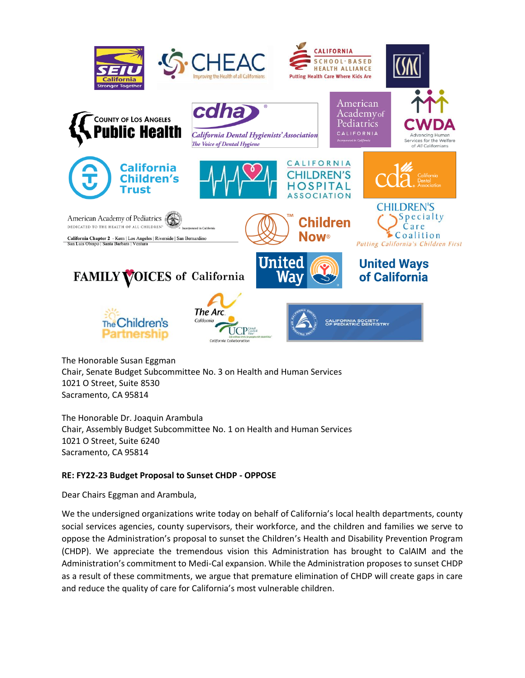

The Honorable Susan Eggman Chair, Senate Budget Subcommittee No. 3 on Health and Human Services 1021 O Street, Suite 8530 Sacramento, CA 95814

The Honorable Dr. Joaquin Arambula Chair, Assembly Budget Subcommittee No. 1 on Health and Human Services 1021 O Street, Suite 6240 Sacramento, CA 95814

# **RE: FY22-23 Budget Proposal to Sunset CHDP - OPPOSE**

Dear Chairs Eggman and Arambula,

We the undersigned organizations write today on behalf of California's local health departments, county social services agencies, county supervisors, their workforce, and the children and families we serve to oppose the Administration's proposal to sunset the Children's Health and Disability Prevention Program (CHDP). We appreciate the tremendous vision this Administration has brought to CalAIM and the Administration's commitment to Medi-Cal expansion. While the Administration proposes to sunset CHDP as a result of these commitments, we argue that premature elimination of CHDP will create gaps in care and reduce the quality of care for California's most vulnerable children.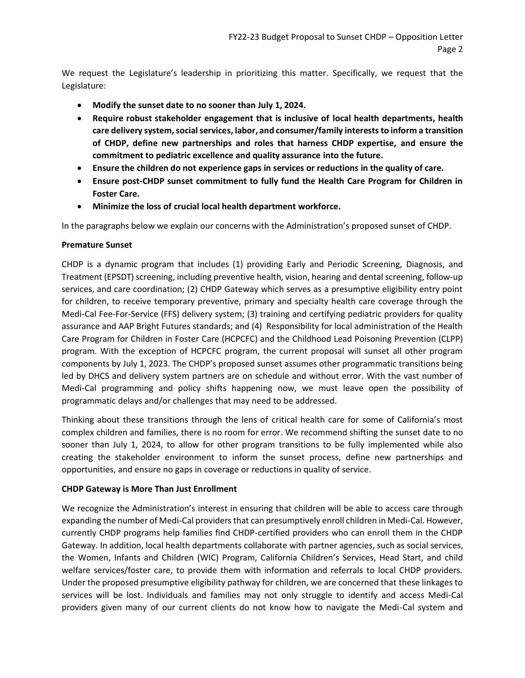We request the Legislature's leadership in prioritizing this matter. Specifically, we request that the Legislature:

- **Modify the sunset date to no sooner than July 1, 2024.**
- **Require robust stakeholder engagement that is inclusive of local health departments, health care delivery system, social services, labor, and consumer/family intereststo inform a transition of CHDP, define new partnerships and roles that harness CHDP expertise, and ensure the commitment to pediatric excellence and quality assurance into the future.**
- **Ensure the children do not experience gaps in services or reductions in the quality of care.**
- **Ensure post-CHDP sunset commitment to fully fund the Health Care Program for Children in Foster Care.**
- **Minimize the loss of crucial local health department workforce.**

In the paragraphs below we explain our concerns with the Administration's proposed sunset of CHDP.

# **Premature Sunset**

CHDP is a dynamic program that includes (1) providing Early and Periodic Screening, Diagnosis, and Treatment (EPSDT) screening, including preventive health, vision, hearing and dental screening, follow-up services, and care coordination; (2) CHDP Gateway which serves as a presumptive eligibility entry point for children, to receive temporary preventive, primary and specialty health care coverage through the Medi-Cal Fee-For-Service (FFS) delivery system; (3) training and certifying pediatric providers for quality assurance and AAP Bright Futures standards; and (4) Responsibility for local administration of the Health Care Program for Children in Foster Care (HCPCFC) and the Childhood Lead Poisoning Prevention (CLPP) program. With the exception of HCPCFC program, the current proposal will sunset all other program components by July 1, 2023. The CHDP's proposed sunset assumes other programmatic transitions being led by DHCS and delivery system partners are on schedule and without error. With the vast number of Medi-Cal programming and policy shifts happening now, we must leave open the possibility of programmatic delays and/or challenges that may need to be addressed.

Thinking about these transitions through the lens of critical health care for some of California's most complex children and families, there is no room for error. We recommend shifting the sunset date to no sooner than July 1, 2024, to allow for other program transitions to be fully implemented while also creating the stakeholder environment to inform the sunset process, define new partnerships and opportunities, and ensure no gaps in coverage or reductions in quality of service.

# **CHDP Gateway is More Than Just Enrollment**

We recognize the Administration's interest in ensuring that children will be able to access care through expanding the number of Medi-Cal providers that can presumptively enroll children in Medi-Cal. However, currently CHDP programs help families find CHDP-certified providers who can enroll them in the CHDP Gateway. In addition, local health departments collaborate with partner agencies, such as social services, the Women, Infants and Children (WIC) Program, California Children's Services, Head Start, and child welfare services/foster care, to provide them with information and referrals to local CHDP providers. Under the proposed presumptive eligibility pathway for children, we are concerned that these linkages to services will be lost. Individuals and families may not only struggle to identify and access Medi-Cal providers given many of our current clients do not know how to navigate the Medi-Cal system and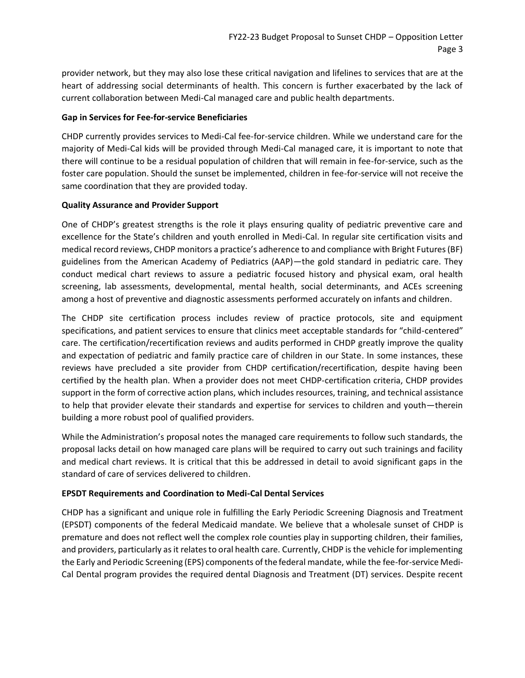provider network, but they may also lose these critical navigation and lifelines to services that are at the heart of addressing social determinants of health. This concern is further exacerbated by the lack of current collaboration between Medi-Cal managed care and public health departments.

#### **Gap in Services for Fee-for-service Beneficiaries**

CHDP currently provides services to Medi-Cal fee-for-service children. While we understand care for the majority of Medi-Cal kids will be provided through Medi-Cal managed care, it is important to note that there will continue to be a residual population of children that will remain in fee-for-service, such as the foster care population. Should the sunset be implemented, children in fee-for-service will not receive the same coordination that they are provided today.

### **Quality Assurance and Provider Support**

One of CHDP's greatest strengths is the role it plays ensuring quality of pediatric preventive care and excellence for the State's children and youth enrolled in Medi-Cal. In regular site certification visits and medical record reviews, CHDP monitors a practice's adherence to and compliance with Bright Futures (BF) guidelines from the American Academy of Pediatrics (AAP)—the gold standard in pediatric care. They conduct medical chart reviews to assure a pediatric focused history and physical exam, oral health screening, lab assessments, developmental, mental health, social determinants, and ACEs screening among a host of preventive and diagnostic assessments performed accurately on infants and children.

The CHDP site certification process includes review of practice protocols, site and equipment specifications, and patient services to ensure that clinics meet acceptable standards for "child-centered" care. The certification/recertification reviews and audits performed in CHDP greatly improve the quality and expectation of pediatric and family practice care of children in our State. In some instances, these reviews have precluded a site provider from CHDP certification/recertification, despite having been certified by the health plan. When a provider does not meet CHDP-certification criteria, CHDP provides support in the form of corrective action plans, which includes resources, training, and technical assistance to help that provider elevate their standards and expertise for services to children and youth—therein building a more robust pool of qualified providers.

While the Administration's proposal notes the managed care requirements to follow such standards, the proposal lacks detail on how managed care plans will be required to carry out such trainings and facility and medical chart reviews. It is critical that this be addressed in detail to avoid significant gaps in the standard of care of services delivered to children.

# **EPSDT Requirements and Coordination to Medi-Cal Dental Services**

CHDP has a significant and unique role in fulfilling the Early Periodic Screening Diagnosis and Treatment (EPSDT) components of the federal Medicaid mandate. We believe that a wholesale sunset of CHDP is premature and does not reflect well the complex role counties play in supporting children, their families, and providers, particularly as it relates to oral health care. Currently, CHDP is the vehicle for implementing the Early and Periodic Screening (EPS) components of the federal mandate, while the fee-for-service Medi-Cal Dental program provides the required dental Diagnosis and Treatment (DT) services. Despite recent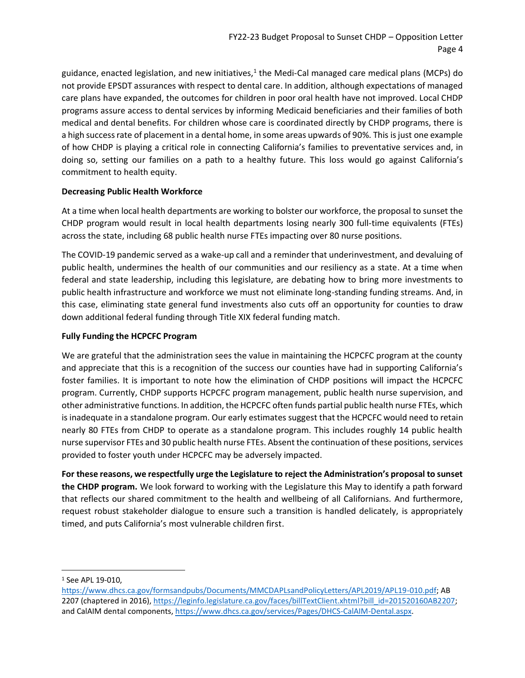guidance, enacted legislation, and new initiatives,<sup>1</sup> the Medi-Cal managed care medical plans (MCPs) do not provide EPSDT assurances with respect to dental care. In addition, although expectations of managed care plans have expanded, the outcomes for children in poor oral health have not improved. Local CHDP programs assure access to dental services by informing Medicaid beneficiaries and their families of both medical and dental benefits. For children whose care is coordinated directly by CHDP programs, there is a high success rate of placement in a dental home, in some areas upwards of 90%. This is just one example of how CHDP is playing a critical role in connecting California's families to preventative services and, in doing so, setting our families on a path to a healthy future. This loss would go against California's commitment to health equity.

### **Decreasing Public Health Workforce**

At a time when local health departments are working to bolster our workforce, the proposal to sunset the CHDP program would result in local health departments losing nearly 300 full-time equivalents (FTEs) across the state, including 68 public health nurse FTEs impacting over 80 nurse positions.

The COVID-19 pandemic served as a wake-up call and a reminder that underinvestment, and devaluing of public health, undermines the health of our communities and our resiliency as a state. At a time when federal and state leadership, including this legislature, are debating how to bring more investments to public health infrastructure and workforce we must not eliminate long-standing funding streams. And, in this case, eliminating state general fund investments also cuts off an opportunity for counties to draw down additional federal funding through Title XIX federal funding match.

### **Fully Funding the HCPCFC Program**

We are grateful that the administration sees the value in maintaining the HCPCFC program at the county and appreciate that this is a recognition of the success our counties have had in supporting California's foster families. It is important to note how the elimination of CHDP positions will impact the HCPCFC program. Currently, CHDP supports HCPCFC program management, public health nurse supervision, and other administrative functions. In addition, the HCPCFC often funds partial public health nurse FTEs, which is inadequate in a standalone program. Our early estimates suggest that the HCPCFC would need to retain nearly 80 FTEs from CHDP to operate as a standalone program. This includes roughly 14 public health nurse supervisor FTEs and 30 public health nurse FTEs. Absent the continuation of these positions, services provided to foster youth under HCPCFC may be adversely impacted.

**For these reasons, we respectfully urge the Legislature to reject the Administration's proposal to sunset the CHDP program.** We look forward to working with the Legislature this May to identify a path forward that reflects our shared commitment to the health and wellbeing of all Californians. And furthermore, request robust stakeholder dialogue to ensure such a transition is handled delicately, is appropriately timed, and puts California's most vulnerable children first.

<sup>&</sup>lt;sup>1</sup> See APL 19-010,

[https://www.dhcs.ca.gov/formsandpubs/Documents/MMCDAPLsandPolicyLetters/APL2019/APL19-010.pdf;](https://www.dhcs.ca.gov/formsandpubs/Documents/MMCDAPLsandPolicyLetters/APL2019/APL19-010.pdf) AB 2207 (chaptered in 2016), [https://leginfo.legislature.ca.gov/faces/billTextClient.xhtml?bill\\_id=201520160AB2207;](https://leginfo.legislature.ca.gov/faces/billTextClient.xhtml?bill_id=201520160AB2207) and CalAIM dental components, [https://www.dhcs.ca.gov/services/Pages/DHCS-CalAIM-Dental.aspx.](https://www.dhcs.ca.gov/services/Pages/DHCS-CalAIM-Dental.aspx)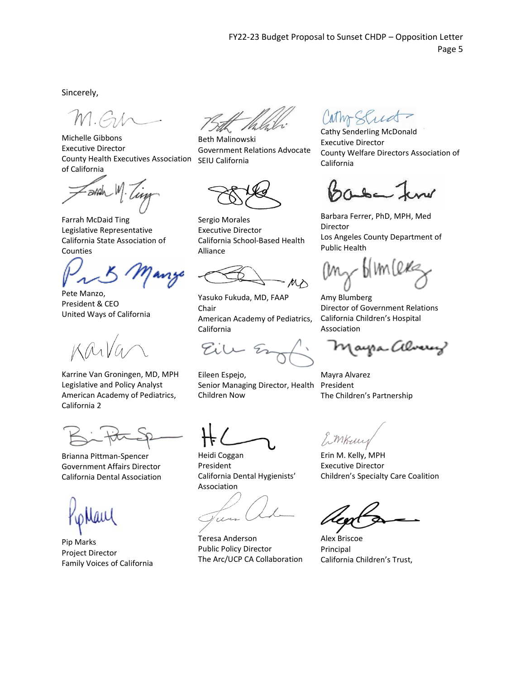Sincerely,

Michelle Gibbons Executive Director County Health Executives Association SEIU California of California

arrah

Farrah McDaid Ting Legislative Representative California State Association of Counties

Pete Manzo, President & CEO United Ways of California

Karrine Van Groningen, MD, MPH Legislative and Policy Analyst American Academy of Pediatrics, California 2

Brianna Pittman-Spencer Government Affairs Director California Dental Association

Pip Marks Project Director Family Voices of California

Beth Malinowski Government Relations Advocate

Sergio Morales Executive Director California School-Based Health Alliance

Yasuko Fukuda, MD, FAAP Chair American Academy of Pediatrics, California

Eile

Eileen Espejo, Senior Managing Director, Health Children Now

Heidi Coggan President California Dental Hygienists' Association

um

Teresa Anderson Public Policy Director The Arc/UCP CA Collaboration

athr Stud

Cathy Senderling McDonald Executive Director County Welfare Directors Association of California

Barbara Ferrer, PhD, MPH, Med Director Los Angeles County Department of Public Health

 $b$ lm(ex

Amy Blumberg Director of Government Relations California Children's Hospital Association

(ayra Alverey

Mayra Alvarez President The Children's Partnership

1 mkun

Erin M. Kelly, MPH Executive Director Children's Specialty Care Coalition

Alex Briscoe Principal California Children's Trust,